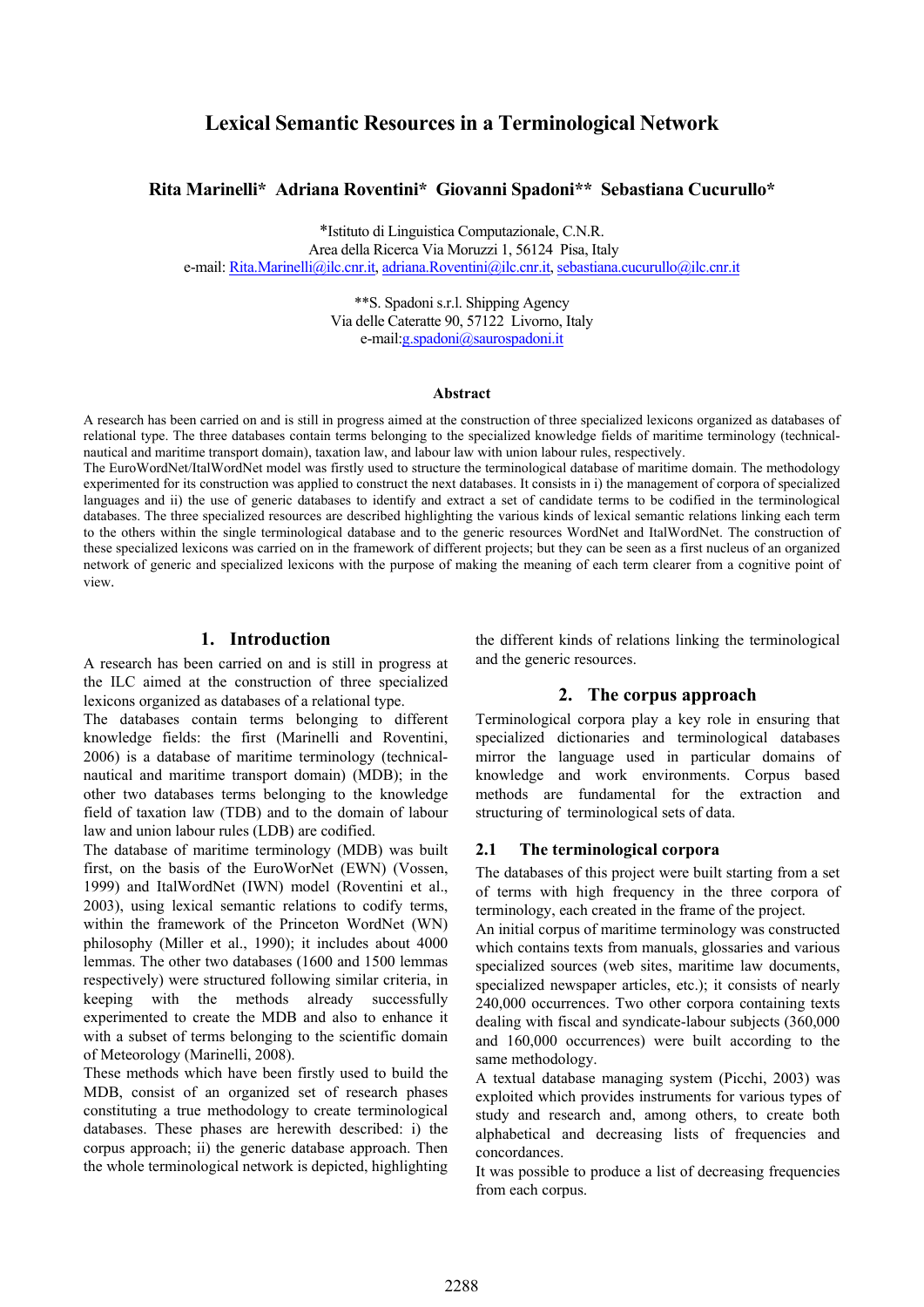# **Lexical Semantic Resources in a Terminological Network**

#### **Rita Marinelli\* Adriana Roventini\* Giovanni Spadoni\*\* Sebastiana Cucurullo\***

\*Istituto di Linguistica Computazionale, C.N.R.

Area della Ricerca Via Moruzzi 1, 56124 Pisa, Italy

e-mail: [Rita.Marinelli@ilc.cnr.it,](mailto:Rita.Marinelli@ilc.cnr.it) [adriana.Roventini@ilc.cnr.it,](mailto:adriana.Roventini@ilc.cnr.it) [sebastiana.cucurullo@ilc.cnr.it](mailto:.cucurullo@ilc.cnr.it)

\*\*S. Spadoni s.r.l. Shipping Agency Via delle Cateratte 90, 57122 Livorno, Italy e-mail:g.spadoni@saurospadoni.it

#### **Abstract**

A research has been carried on and is still in progress aimed at the construction of three specialized lexicons organized as databases of relational type. The three databases contain terms belonging to the specialized knowledge fields of maritime terminology (technicalnautical and maritime transport domain), taxation law, and labour law with union labour rules, respectively.

The EuroWordNet/ItalWordNet model was firstly used to structure the terminological database of maritime domain. The methodology experimented for its construction was applied to construct the next databases. It consists in i) the management of corpora of specialized languages and ii) the use of generic databases to identify and extract a set of candidate terms to be codified in the terminological databases. The three specialized resources are described highlighting the various kinds of lexical semantic relations linking each term to the others within the single terminological database and to the generic resources WordNet and ItalWordNet. The construction of these specialized lexicons was carried on in the framework of different projects; but they can be seen as a first nucleus of an organized network of generic and specialized lexicons with the purpose of making the meaning of each term clearer from a cognitive point of view.

#### **1. Introduction**

A research has been carried on and is still in progress at the ILC aimed at the construction of three specialized lexicons organized as databases of a relational type.

The databases contain terms belonging to different knowledge fields: the first (Marinelli and Roventini, 2006) is a database of maritime terminology (technicalnautical and maritime transport domain) (MDB); in the other two databases terms belonging to the knowledge field of taxation law (TDB) and to the domain of labour law and union labour rules (LDB) are codified.

The database of maritime terminology (MDB) was built first, on the basis of the EuroWorNet (EWN) (Vossen, 1999) and ItalWordNet (IWN) model (Roventini et al., 2003), using lexical semantic relations to codify terms, within the framework of the Princeton WordNet (WN) philosophy (Miller et al., 1990); it includes about 4000 lemmas. The other two databases (1600 and 1500 lemmas respectively) were structured following similar criteria, in keeping with the methods already successfully experimented to create the MDB and also to enhance it with a subset of terms belonging to the scientific domain of Meteorology (Marinelli, 2008).

These methods which have been firstly used to build the MDB, consist of an organized set of research phases constituting a true methodology to create terminological databases. These phases are herewith described: i) the corpus approach; ii) the generic database approach. Then the whole terminological network is depicted, highlighting

the different kinds of relations linking the terminological and the generic resources.

### **2. The corpus approach**

Terminological corpora play a key role in ensuring that specialized dictionaries and terminological databases mirror the language used in particular domains of knowledge and work environments. Corpus based methods are fundamental for the extraction and structuring of terminological sets of data.

#### **2.1 The terminological corpora**

The databases of this project were built starting from a set of terms with high frequency in the three corpora of terminology, each created in the frame of the project.

An initial corpus of maritime terminology was constructed which contains texts from manuals, glossaries and various specialized sources (web sites, maritime law documents, specialized newspaper articles, etc.); it consists of nearly 240,000 occurrences. Two other corpora containing texts dealing with fiscal and syndicate-labour subjects (360,000 and 160,000 occurrences) were built according to the same methodology.

A textual database managing system (Picchi, 2003) was exploited which provides instruments for various types of study and research and, among others, to create both alphabetical and decreasing lists of frequencies and concordances.

It was possible to produce a list of decreasing frequencies from each corpus.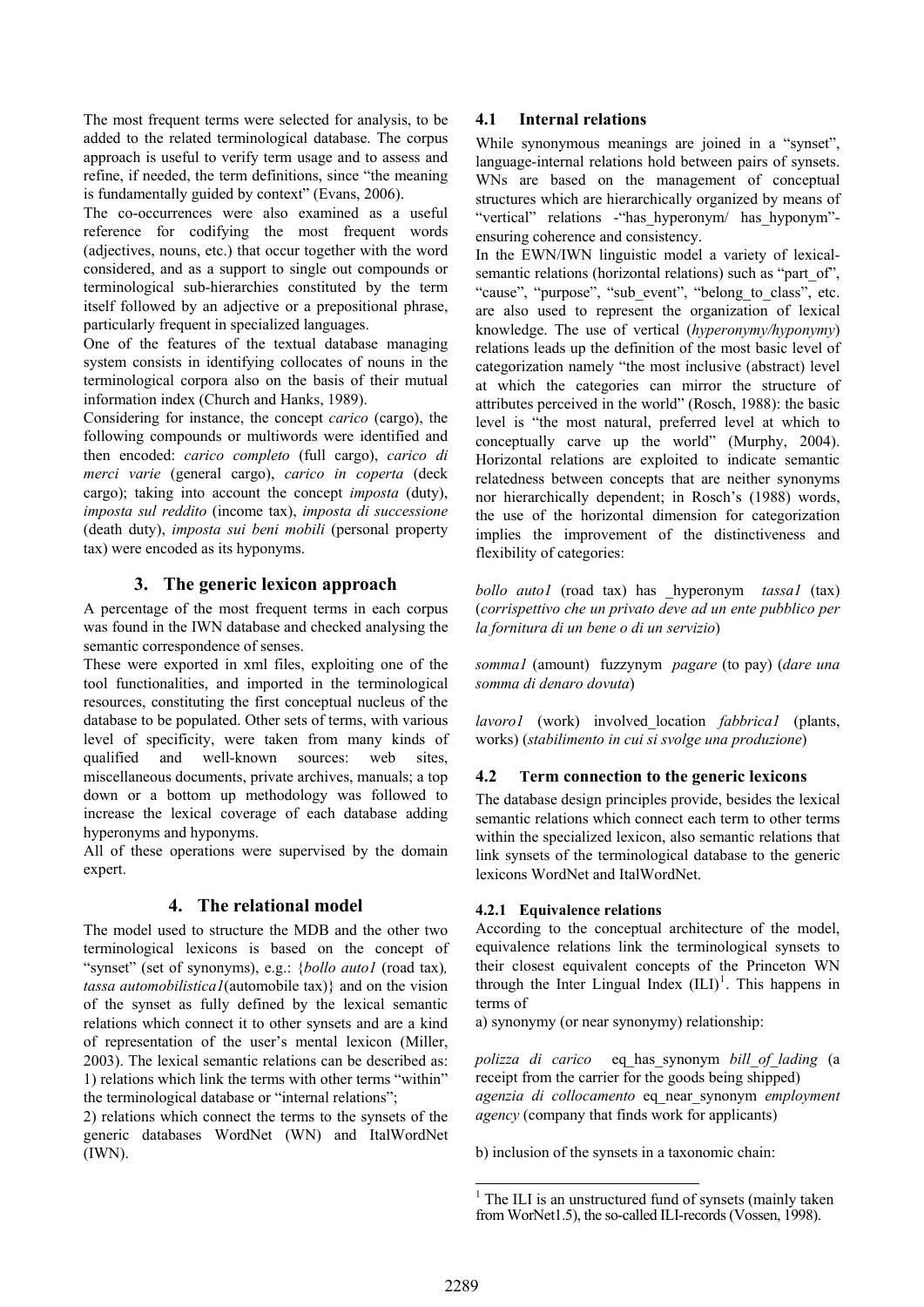The most frequent terms were selected for analysis, to be added to the related terminological database. The corpus approach is useful to verify term usage and to assess and refine, if needed, the term definitions, since "the meaning is fundamentally guided by context" (Evans, 2006).

The co-occurrences were also examined as a useful reference for codifying the most frequent words (adjectives, nouns, etc.) that occur together with the word considered, and as a support to single out compounds or terminological sub-hierarchies constituted by the term itself followed by an adjective or a prepositional phrase, particularly frequent in specialized languages.

One of the features of the textual database managing system consists in identifying collocates of nouns in the terminological corpora also on the basis of their mutual information index (Church and Hanks, 1989).

Considering for instance, the concept *carico* (cargo), the following compounds or multiwords were identified and then encoded: *carico completo* (full cargo), *carico di merci varie* (general cargo), *carico in coperta* (deck cargo); taking into account the concept *imposta* (duty), *imposta sul reddito* (income tax), *imposta di successione*  (death duty), *imposta sui beni mobili* (personal property tax) were encoded as its hyponyms.

### **3. The generic lexicon approach**

A percentage of the most frequent terms in each corpus was found in the IWN database and checked analysing the semantic correspondence of senses.

These were exported in xml files, exploiting one of the tool functionalities, and imported in the terminological resources, constituting the first conceptual nucleus of the database to be populated. Other sets of terms, with various level of specificity, were taken from many kinds of qualified and well-known sources: web sites, miscellaneous documents, private archives, manuals; a top down or a bottom up methodology was followed to increase the lexical coverage of each database adding hyperonyms and hyponyms.

All of these operations were supervised by the domain expert.

### **4. The relational model**

The model used to structure the MDB and the other two terminological lexicons is based on the concept of "synset" (set of synonyms), e.g.: {*bollo auto1* (road tax)*, tassa automobilistica1*(automobile tax)} and on the vision of the synset as fully defined by the lexical semantic relations which connect it to other synsets and are a kind of representation of the user's mental lexicon (Miller, 2003). The lexical semantic relations can be described as: 1) relations which link the terms with other terms "within" the terminological database or "internal relations";

<span id="page-1-0"></span>2) relations which connect the terms to the synsets of the generic databases WordNet (WN) and ItalWordNet (IWN).

### **4.1 Internal relations**

While synonymous meanings are joined in a "synset", language-internal relations hold between pairs of synsets. WNs are based on the management of conceptual structures which are hierarchically organized by means of "vertical" relations -"has\_hyperonym/ has\_hyponym" ensuring coherence and consistency.

In the EWN/IWN linguistic model a variety of lexicalsemantic relations (horizontal relations) such as "part of", "cause", "purpose", "sub event", "belong to class", etc. are also used to represent the organization of lexical knowledge. The use of vertical (*hyperonymy/hyponymy*) relations leads up the definition of the most basic level of categorization namely "the most inclusive (abstract) level at which the categories can mirror the structure of attributes perceived in the world" (Rosch, 1988): the basic level is "the most natural, preferred level at which to conceptually carve up the world" (Murphy, 2004). Horizontal relations are exploited to indicate semantic relatedness between concepts that are neither synonyms nor hierarchically dependent; in Rosch's (1988) words, the use of the horizontal dimension for categorization implies the improvement of the distinctiveness and flexibility of categories:

*bollo auto1* (road tax) has \_hyperonym *tassa1* (tax) (*corrispettivo che un privato deve ad un ente pubblico per la fornitura di un bene o di un servizio*)

*somma1* (amount) fuzzynym *pagare* (to pay) (*dare una somma di denaro dovuta*)

*lavoro1* (work) involved\_location *fabbrica1* (plants, works) (*stabilimento in cui si svolge una produzione*)

## **4.2 Term connection to the generic lexicons**

The database design principles provide, besides the lexical semantic relations which connect each term to other terms within the specialized lexicon, also semantic relations that link synsets of the terminological database to the generic lexicons WordNet and ItalWordNet.

### **4.2.1 Equivalence relations**

According to the conceptual architecture of the model, equivalence relations link the terminological synsets to their closest equivalent concepts of the Princeton WN through the Inter Lingual Index  $(ILI)^1$  $(ILI)^1$ . This happens in terms of

a) synonymy (or near synonymy) relationship:

*polizza di carico* eq\_has\_synonym *bill\_of\_lading* (a receipt from the carrier for the goods being shipped) *agenzia di collocamento* eq\_near\_synonym *employment agency* (company that finds work for applicants)

b) inclusion of the synsets in a taxonomic chain:

<sup>&</sup>lt;sup>1</sup> The ILI is an unstructured fund of synsets (mainly taken from WorNet1.5), the so-called ILI-records (Vossen, 1998).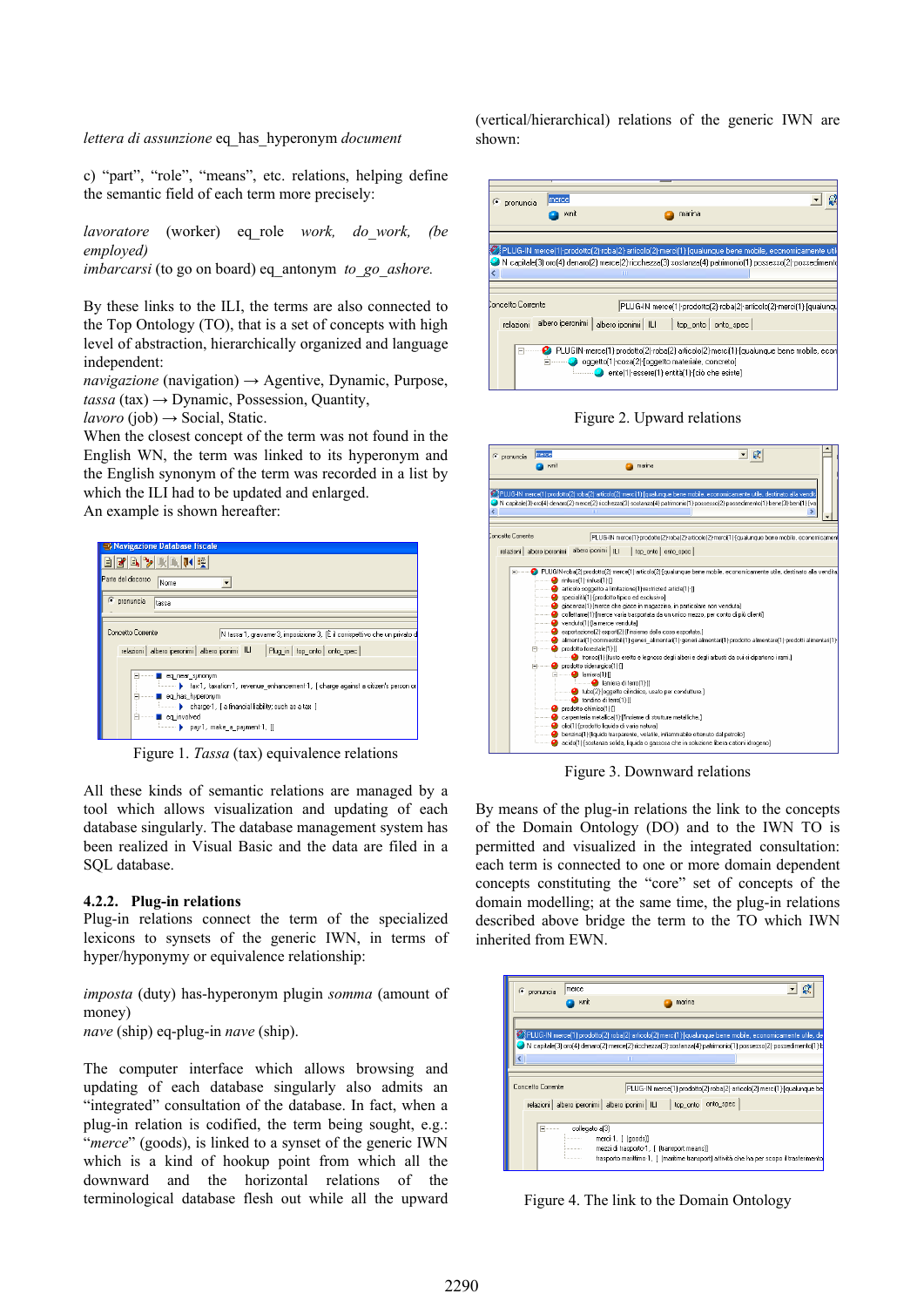*lettera di assunzione* eq\_has\_hyperonym *document*

c) "part", "role", "means", etc. relations, helping define the semantic field of each term more precisely:

*lavoratore* (worker) eq\_role *work, do\_work, (be employed)* 

*imbarcarsi* (to go on board) eq\_antonym *to\_go\_ashore.*

By these links to the ILI, the terms are also connected to the Top Ontology (TO), that is a set of concepts with high level of abstraction, hierarchically organized and language independent:

*navigazione* (navigation) → Agentive, Dynamic, Purpose,  $tassa$  (tax)  $\rightarrow$  Dynamic, Possession, Quantity,

 *(job)*  $\rightarrow$  *Social, Static.* 

When the closest concept of the term was not found in the English WN, the term was linked to its hyperonym and the English synonym of the term was recorded in a list by which the ILI had to be updated and enlarged.

An example is shown hereafter:



Figure 1. *Tassa* (tax) equivalence relations

All these kinds of semantic relations are managed by a tool which allows visualization and updating of each database singularly. The database management system has been realized in Visual Basic and the data are filed in a SQL database.

#### **4.2.2. Plug-in relations**

Plug-in relations connect the term of the specialized lexicons to synsets of the generic IWN, in terms of hyper/hyponymy or equivalence relationship:

*imposta* (duty) has-hyperonym plugin *somma* (amount of money)

*nave* (ship) eq-plug-in *nave* (ship).

The computer interface which allows browsing and updating of each database singularly also admits an "integrated" consultation of the database. In fact, when a plug-in relation is codified, the term being sought, e.g.: "*merce*" (goods), is linked to a synset of the generic IWN which is a kind of hookup point from which all the downward and the horizontal relations of the terminological database flesh out while all the upward (vertical/hierarchical) relations of the generic IWN are shown:







Figure 3. Downward relations

By means of the plug-in relations the link to the concepts of the Domain Ontology (DO) and to the IWN TO is permitted and visualized in the integrated consultation: each term is connected to one or more domain dependent concepts constituting the "core" set of concepts of the domain modelling; at the same time, the plug-in relations described above bridge the term to the TO which IWN inherited from EWN.



Figure 4. The link to the Domain Ontology